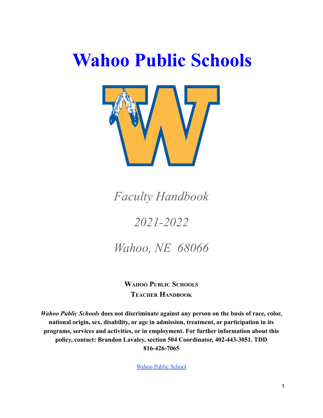# **Wahoo Public Schools**



*Faculty Handbook*

# *2021-2022*

*Wahoo, NE 68066*

**WAHOO PUBLIC SCHOOLS TEACHER HANDBOOK**

*Wahoo Public Schools* **does not discriminate against any person on the basis of race, color, national origin, sex, disability, or age in admission, treatment, or participation in its programs, services and activities, or in employment. For further information about this policy, contact: Brandon Lavaley, section 504 Coordinator, 402-443-3051. TDD 816-426-7065**

Wahoo Public School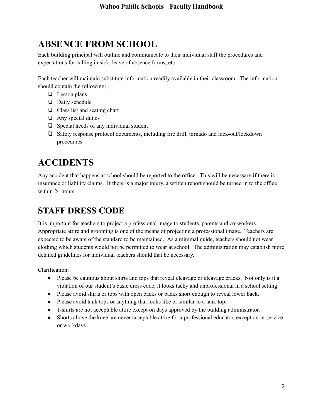# **ABSENCE FROM SCHOOL**

Each building principal will outline and communicate to their individual staff the procedures and expectations for calling in sick, leave of absence forms, etc…

Each teacher will maintain substitute information readily available in their classroom. The information should contain the following:

- ❏ Lesson plans
- ❏ Daily schedule
- ❏ Class list and seating chart
- ❏ Any special duties
- ❏ Special needs of any individual student
- ❏ Safety response protocol documents, including fire drill, tornado and lock-out/lockdown procedures

# **ACCIDENTS**

Any accident that happens at school should be reported to the office. This will be necessary if there is insurance or liability claims. If there is a major injury, a written report should be turned in to the office within 24 hours.

# **STAFF DRESS CODE**

It is important for teachers to project a professional image to students, parents and co-workers. Appropriate attire and grooming is one of the means of projecting a professional image. Teachers are expected to be aware of the standard to be maintained. As a minimal guide, teachers should not wear clothing which students would not be permitted to wear at school. The administration may establish more detailed guidelines for individual teachers should that be necessary.

Clarification:

- Please be cautious about shirts and tops that reveal cleavage or cleavage cracks. Not only is it a violation of our student's basic dress code, it looks tacky and unprofessional in a school setting.
- Please avoid shirts or tops with open backs or backs short enough to reveal lower back.
- Please avoid tank tops or anything that looks like or similar to a tank top.
- T-shirts are not acceptable attire except on days approved by the building administrator.
- Shorts above the knee are never acceptable attire for a professional educator, except on in-service or workdays.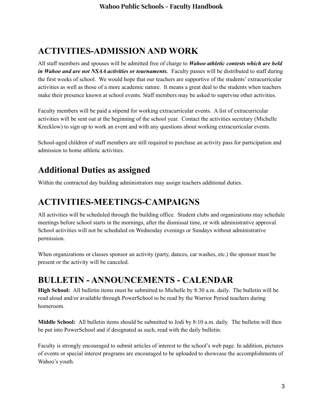# **ACTIVITIES-ADMISSION AND WORK**

All staff members and spouses will be admitted free of charge to *Wahoo athletic contests which are held in Wahoo and are not NSAA activities or tournaments.* Faculty passes will be distributed to staff during the first weeks of school. We would hope that our teachers are supportive of the students' extracurricular activities as well as those of a more academic nature. It means a great deal to the students when teachers make their presence known at school events. Staff members may be asked to supervise other activities.

Faculty members will be paid a stipend for working extracurricular events. A list of extracurricular activities will be sent out at the beginning of the school year. Contact the activities secretary (Michelle Krecklow) to sign up to work an event and with any questions about working extracurricular events.

School-aged children of staff members are still required to purchase an activity pass for participation and admission to home athletic activities.

#### **Additional Duties as assigned**

Within the contracted day building administrators may assign teachers additional duties.

#### **ACTIVITIES-MEETINGS-CAMPAIGNS**

All activities will be scheduled through the building office. Student clubs and organizations may schedule meetings before school starts in the mornings, after the dismissal time, or with administrative approval. School activities will not be scheduled on Wednesday evenings or Sundays without administrative permission.

When organizations or classes sponsor an activity (party, dances, car washes, etc.) the sponsor must be present or the activity will be canceled.

#### **BULLETIN - ANNOUNCEMENTS - CALENDAR**

**High School:** All bulletin items must be submitted to Michelle by 8:30 a.m. daily. The bulletin will be read aloud and/or available through PowerSchool to be read by the Warrior Period teachers during homeroom.

**Middle School:** All bulletin items should be submitted to Jodi by 8:10 a.m. daily. The bulletin will then be put into PowerSchool and if designated as such, read with the daily bulletin.

Faculty is strongly encouraged to submit articles of interest to the school's web page. In addition, pictures of events or special interest programs are encouraged to be uploaded to showcase the accomplishments of Wahoo's youth.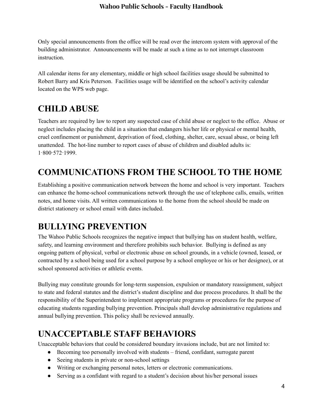#### **Wahoo Public Schools - Faculty Handbook**

Only special announcements from the office will be read over the intercom system with approval of the building administrator. Announcements will be made at such a time as to not interrupt classroom instruction.

All calendar items for any elementary, middle or high school facilities usage should be submitted to Robert Barry and Kris Peterson. Facilities usage will be identified on the school's activity calendar located on the WPS web page.

### **CHILD ABUSE**

Teachers are required by law to report any suspected case of child abuse or neglect to the office. Abuse or neglect includes placing the child in a situation that endangers his/her life or physical or mental health, cruel confinement or punishment, deprivation of food, clothing, shelter, care, sexual abuse, or being left unattended. The hot-line number to report cases of abuse of children and disabled adults is: 1‑800‑572‑1999.

# **COMMUNICATIONS FROM THE SCHOOL TO THE HOME**

Establishing a positive communication network between the home and school is very important. Teachers can enhance the home-school communications network through the use of telephone calls, emails, written notes, and home visits. All written communications to the home from the school should be made on district stationery or school email with dates included.

#### **BULLYING PREVENTION**

The Wahoo Public Schools recognizes the negative impact that bullying has on student health, welfare, safety, and learning environment and therefore prohibits such behavior. Bullying is defined as any ongoing pattern of physical, verbal or electronic abuse on school grounds, in a vehicle (owned, leased, or contracted by a school being used for a school purpose by a school employee or his or her designee), or at school sponsored activities or athletic events.

Bullying may constitute grounds for long-term suspension, expulsion or mandatory reassignment, subject to state and federal statutes and the district's student discipline and due process procedures. It shall be the responsibility of the Superintendent to implement appropriate programs or procedures for the purpose of educating students regarding bullying prevention. Principals shall develop administrative regulations and annual bullying prevention. This policy shall be reviewed annually.

# **UNACCEPTABLE STAFF BEHAVIORS**

Unacceptable behaviors that could be considered boundary invasions include, but are not limited to:

- Becoming too personally involved with students friend, confidant, surrogate parent
- Seeing students in private or non-school settings
- Writing or exchanging personal notes, letters or electronic communications.
- Serving as a confidant with regard to a student's decision about his/her personal issues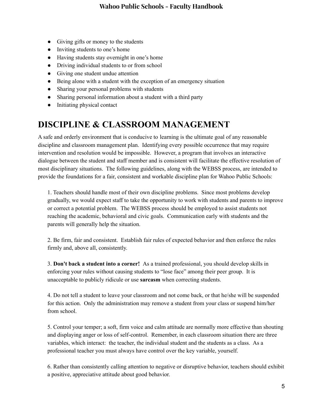- Giving gifts or money to the students
- Inviting students to one's home
- Having students stay overnight in one's home
- Driving individual students to or from school
- Giving one student undue attention
- Being alone with a student with the exception of an emergency situation
- Sharing your personal problems with students
- Sharing personal information about a student with a third party
- Initiating physical contact

#### **DISCIPLINE & CLASSROOM MANAGEMENT**

A safe and orderly environment that is conducive to learning is the ultimate goal of any reasonable discipline and classroom management plan. Identifying every possible occurrence that may require intervention and resolution would be impossible. However, a program that involves an interactive dialogue between the student and staff member and is consistent will facilitate the effective resolution of most disciplinary situations. The following guidelines, along with the WEBSS process, are intended to provide the foundations for a fair, consistent and workable discipline plan for Wahoo Public Schools:

1. Teachers should handle most of their own discipline problems. Since most problems develop gradually, we would expect staff to take the opportunity to work with students and parents to improve or correct a potential problem. The WEBSS process should be employed to assist students not reaching the academic, behavioral and civic goals. Communication early with students and the parents will generally help the situation.

2. Be firm, fair and consistent. Establish fair rules of expected behavior and then enforce the rules firmly and, above all, consistently.

3. **Don't back a student into a corner!** As a trained professional, you should develop skills in enforcing your rules without causing students to "lose face" among their peer group. It is unacceptable to publicly ridicule or use **sarcasm** when correcting students.

4. Do not tell a student to leave your classroom and not come back, or that he/she will be suspended for this action. Only the administration may remove a student from your class or suspend him/her from school.

5. Control your temper; a soft, firm voice and calm attitude are normally more effective than shouting and displaying anger or loss of self-control. Remember, in each classroom situation there are three variables, which interact: the teacher, the individual student and the students as a class. As a professional teacher you must always have control over the key variable, yourself.

6. Rather than consistently calling attention to negative or disruptive behavior, teachers should exhibit a positive, appreciative attitude about good behavior.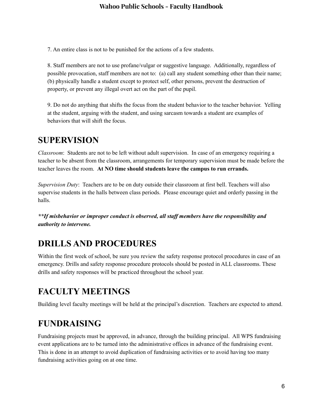#### **Wahoo Public Schools - Faculty Handbook**

7. An entire class is not to be punished for the actions of a few students.

8. Staff members are not to use profane/vulgar or suggestive language. Additionally, regardless of possible provocation, staff members are not to: (a) call any student something other than their name; (b) physically handle a student except to protect self, other persons, prevent the destruction of property, or prevent any illegal overt act on the part of the pupil.

9. Do not do anything that shifts the focus from the student behavior to the teacher behavior. Yelling at the student, arguing with the student, and using sarcasm towards a student are examples of behaviors that will shift the focus.

#### **SUPERVISION**

*Classroom*: Students are not to be left without adult supervision. In case of an emergency requiring a teacher to be absent from the classroom, arrangements for temporary supervision must be made before the teacher leaves the room. **At NO time should students leave the campus to run errands.**

*Supervision Duty*: Teachers are to be on duty outside their classroom at first bell. Teachers will also supervise students in the halls between class periods. Please encourage quiet and orderly passing in the halls.

*\*\*If misbehavior or improper conduct is observed, all staff members have the responsibility and authority to intervene.*

#### **DRILLS AND PROCEDURES**

Within the first week of school, be sure you review the safety response protocol procedures in case of an emergency. Drills and safety response procedure protocols should be posted in ALL classrooms. These drills and safety responses will be practiced throughout the school year.

#### **FACULTY MEETINGS**

Building level faculty meetings will be held at the principal's discretion. Teachers are expected to attend.

#### **FUNDRAISING**

Fundraising projects must be approved, in advance, through the building principal. All WPS fundraising event applications are to be turned into the administrative offices in advance of the fundraising event. This is done in an attempt to avoid duplication of fundraising activities or to avoid having too many fundraising activities going on at one time.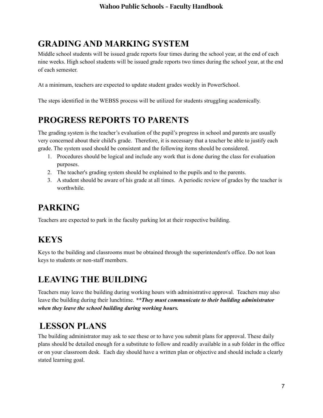# **GRADING AND MARKING SYSTEM**

Middle school students will be issued grade reports four times during the school year, at the end of each nine weeks. High school students will be issued grade reports two times during the school year, at the end of each semester.

At a minimum, teachers are expected to update student grades weekly in PowerSchool.

The steps identified in the WEBSS process will be utilized for students struggling academically.

# **PROGRESS REPORTS TO PARENTS**

The grading system is the teacher's evaluation of the pupil's progress in school and parents are usually very concerned about their child's grade. Therefore, it is necessary that a teacher be able to justify each grade. The system used should be consistent and the following items should be considered.

- 1. Procedures should be logical and include any work that is done during the class for evaluation purposes.
- 2. The teacher's grading system should be explained to the pupils and to the parents.
- 3. A student should be aware of his grade at all times. A periodic review of grades by the teacher is worthwhile.

#### **PARKING**

Teachers are expected to park in the faculty parking lot at their respective building.

#### **KEYS**

Keys to the building and classrooms must be obtained through the superintendent's office. Do not loan keys to students or non-staff members.

#### **LEAVING THE BUILDING**

Teachers may leave the building during working hours with administrative approval. Teachers may also leave the building during their lunchtime. *\*\*They must communicate to their building administrator when they leave the school building during working hours.*

#### **LESSON PLANS**

The building administrator may ask to see these or to have you submit plans for approval. These daily plans should be detailed enough for a substitute to follow and readily available in a sub folder in the office or on your classroom desk. Each day should have a written plan or objective and should include a clearly stated learning goal.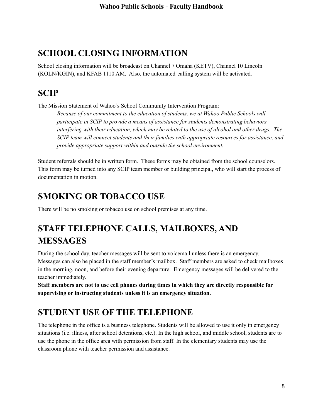#### **SCHOOL CLOSING INFORMATION**

School closing information will be broadcast on Channel 7 Omaha (KETV), Channel 10 Lincoln (KOLN/KGIN), and KFAB 1110 AM. Also, the automated calling system will be activated.

# **SCIP**

The Mission Statement of Wahoo's School Community Intervention Program:

*Because of our commitment to the education of students, we at Wahoo Public Schools will participate in SCIP to provide a means of assistance for students demonstrating behaviors interfering with their education, which may be related to the use of alcohol and other drugs. The SCIP team will connect students and their families with appropriate resources for assistance, and provide appropriate support within and outside the school environment.*

Student referrals should be in written form. These forms may be obtained from the school counselors. This form may be turned into any SCIP team member or building principal, who will start the process of documentation in motion.

# **SMOKING OR TOBACCO USE**

There will be no smoking or tobacco use on school premises at any time.

# **STAFF TELEPHONE CALLS, MAILBOXES, AND MESSAGES**

During the school day, teacher messages will be sent to voicemail unless there is an emergency. Messages can also be placed in the staff member's mailbox. Staff members are asked to check mailboxes in the morning, noon, and before their evening departure. Emergency messages will be delivered to the teacher immediately.

**Staff members are not to use cell phones during times in which they are directly responsible for supervising or instructing students unless it is an emergency situation.**

# **STUDENT USE OF THE TELEPHONE**

The telephone in the office is a business telephone. Students will be allowed to use it only in emergency situations (i.e. illness, after school detentions, etc.). In the high school, and middle school, students are to use the phone in the office area with permission from staff. In the elementary students may use the classroom phone with teacher permission and assistance.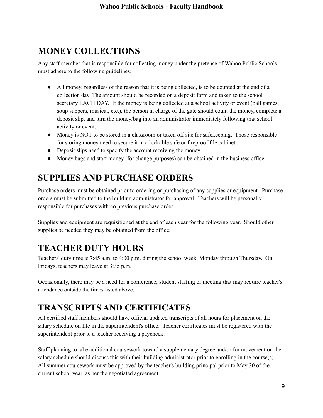# **MONEY COLLECTIONS**

Any staff member that is responsible for collecting money under the pretense of Wahoo Public Schools must adhere to the following guidelines:

- All money, regardless of the reason that it is being collected, is to be counted at the end of a collection day. The amount should be recorded on a deposit form and taken to the school secretary EACH DAY. If the money is being collected at a school activity or event (ball games, soup suppers, musical, etc.), the person in charge of the gate should count the money, complete a deposit slip, and turn the money/bag into an administrator immediately following that school activity or event.
- Money is NOT to be stored in a classroom or taken off site for safekeeping. Those responsible for storing money need to secure it in a lockable safe or fireproof file cabinet.
- Deposit slips need to specify the account receiving the money.
- Money bags and start money (for change purposes) can be obtained in the business office.

# **SUPPLIES AND PURCHASE ORDERS**

Purchase orders must be obtained prior to ordering or purchasing of any supplies or equipment. Purchase orders must be submitted to the building administrator for approval. Teachers will be personally responsible for purchases with no previous purchase order.

Supplies and equipment are requisitioned at the end of each year for the following year. Should other supplies be needed they may be obtained from the office.

# **TEACHER DUTY HOURS**

Teachers' duty time is 7:45 a.m. to 4:00 p.m. during the school week, Monday through Thursday. On Fridays, teachers may leave at 3:35 p.m.

Occasionally, there may be a need for a conference; student staffing or meeting that may require teacher's attendance outside the times listed above.

# **TRANSCRIPTS AND CERTIFICATES**

All certified staff members should have official updated transcripts of all hours for placement on the salary schedule on file in the superintendent's office. Teacher certificates must be registered with the superintendent prior to a teacher receiving a paycheck.

Staff planning to take additional coursework toward a supplementary degree and/or for movement on the salary schedule should discuss this with their building administrator prior to enrolling in the course(s). All summer coursework must be approved by the teacher's building principal prior to May 30 of the current school year, as per the negotiated agreement.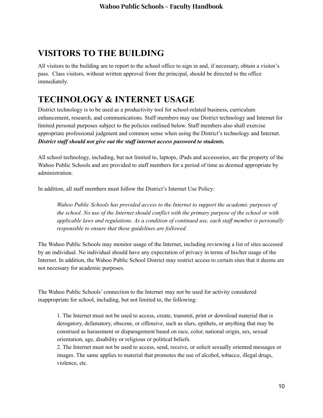#### **VISITORS TO THE BUILDING**

All visitors to the building are to report to the school office to sign in and, if necessary, obtain a visitor's pass. Class visitors, without written approval from the principal, should be directed to the office immediately.

# **TECHNOLOGY & INTERNET USAGE**

District technology is to be used as a productivity tool for school-related business, curriculum enhancement, research, and communications. Staff members may use District technology and Internet for limited personal purposes subject to the policies outlined below. Staff members also shall exercise appropriate professional judgment and common sense when using the District's technology and Internet. *District staff should not give out the staff internet access password to students.*

All school technology, including, but not limited to, laptops, iPads and accessories, are the property of the Wahoo Public Schools and are provided to staff members for a period of time as deemed appropriate by administration.

In addition, all staff members must follow the District's Internet Use Policy:

*Wahoo Public Schools has provided access to the Internet to support the academic purposes of the school. No use of the Internet should conflict with the primary purpose of the school or with applicable laws and regulations. As a condition of continued use, each staff member is personally responsible to ensure that these guidelines are followed.*

The Wahoo Public Schools may monitor usage of the Internet, including reviewing a list of sites accessed by an individual. No individual should have any expectation of privacy in terms of his/her usage of the Internet. In addition, the Wahoo Public School District may restrict access to certain sites that it deems are not necessary for academic purposes.

The Wahoo Public Schools' connection to the Internet may not be used for activity considered inappropriate for school, including, but not limited to, the following:

1. The Internet must not be used to access, create, transmit, print or download material that is derogatory, defamatory, obscene, or offensive, such as slurs, epithets, or anything that may be construed as harassment or disparagement based on race, color, national origin, sex, sexual orientation, age, disability or religious or political beliefs.

2. The Internet must not be used to access, send, receive, or solicit sexually oriented messages or images. The same applies to material that promotes the use of alcohol, tobacco, illegal drugs, violence, etc.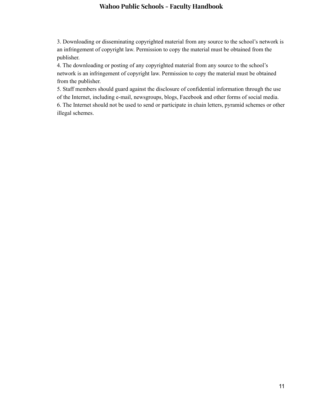#### **Wahoo Public Schools - Faculty Handbook**

3. Downloading or disseminating copyrighted material from any source to the school's network is an infringement of copyright law. Permission to copy the material must be obtained from the publisher.

4. The downloading or posting of any copyrighted material from any source to the school's network is an infringement of copyright law. Permission to copy the material must be obtained from the publisher.

5. Staff members should guard against the disclosure of confidential information through the use of the Internet, including e-mail, newsgroups, blogs, Facebook and other forms of social media. 6. The Internet should not be used to send or participate in chain letters, pyramid schemes or other illegal schemes.